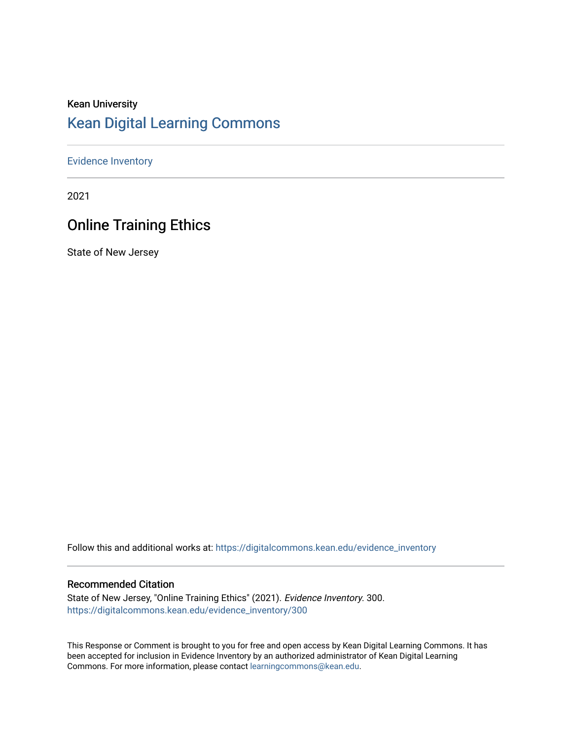# Kean University [Kean Digital Learning Commons](https://digitalcommons.kean.edu/)

### [Evidence Inventory](https://digitalcommons.kean.edu/evidence_inventory)

2021

# Online Training Ethics

State of New Jersey

Follow this and additional works at: [https://digitalcommons.kean.edu/evidence\\_inventory](https://digitalcommons.kean.edu/evidence_inventory?utm_source=digitalcommons.kean.edu%2Fevidence_inventory%2F300&utm_medium=PDF&utm_campaign=PDFCoverPages)

### Recommended Citation

State of New Jersey, "Online Training Ethics" (2021). Evidence Inventory. 300. [https://digitalcommons.kean.edu/evidence\\_inventory/300](https://digitalcommons.kean.edu/evidence_inventory/300?utm_source=digitalcommons.kean.edu%2Fevidence_inventory%2F300&utm_medium=PDF&utm_campaign=PDFCoverPages)

This Response or Comment is brought to you for free and open access by Kean Digital Learning Commons. It has been accepted for inclusion in Evidence Inventory by an authorized administrator of Kean Digital Learning Commons. For more information, please contact [learningcommons@kean.edu.](mailto:learningcommons@kean.edu)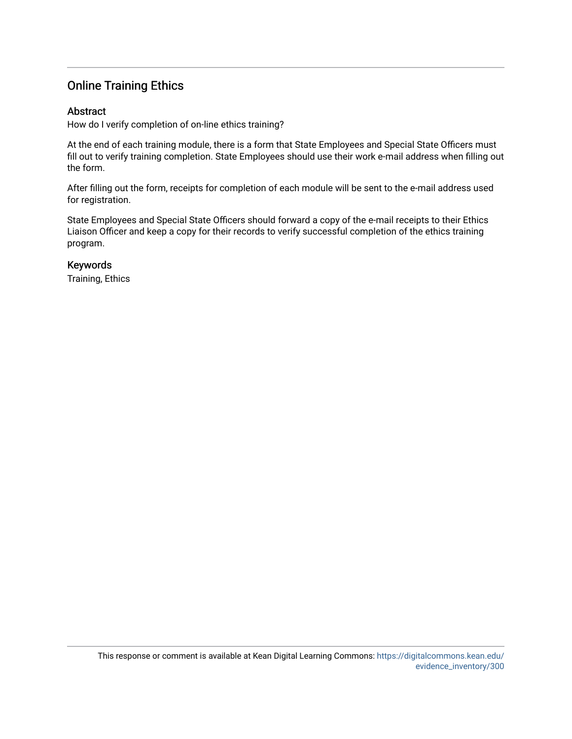## Online Training Ethics

### Abstract

How do I verify completion of on-line ethics training?

At the end of each training module, there is a form that State Employees and Special State Officers must fill out to verify training completion. State Employees should use their work e-mail address when filling out the form.

After filling out the form, receipts for completion of each module will be sent to the e-mail address used for registration.

State Employees and Special State Officers should forward a copy of the e-mail receipts to their Ethics Liaison Officer and keep a copy for their records to verify successful completion of the ethics training program.

### Keywords

Training, Ethics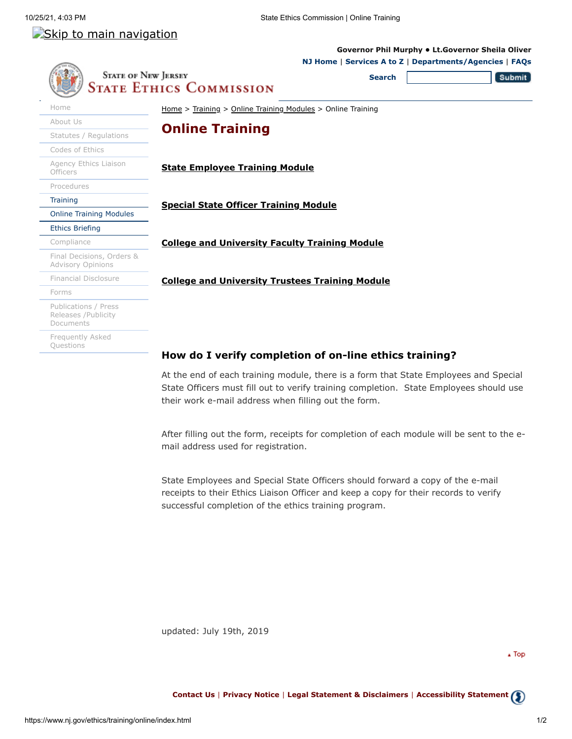**[Governor Phil Murphy](https://www.nj.gov/governor/) • [Lt.Governor Sheila Oliver](https://www.nj.gov/governor/)**

## Skip to main navigation

#### **[NJ Home](https://www.nj.gov/)** | **[Services A to Z](https://www.nj.gov/nj/gov/njgov/alphaserv.html)** | **[Departments/Agencies](https://www.nj.gov/nj/gov/deptserv/)** | **[FAQs](https://www.nj.gov/faqs/) STATE OF NEW JERSEY** Submit **Search** State Ethics Commission [Home](https://www.nj.gov/ethics/) [Home](https://www.nj.gov/ethics/) > [Training](https://www.nj.gov/ethics/training/) > [Online Training Modules](https://www.nj.gov/ethics/training/online/index.html) > Online Training [About Us](https://www.nj.gov/ethics/about/) **Online Training** [Statutes / Regulations](https://www.nj.gov/ethics/statutes/index.html) [Codes of Ethics](https://www.nj.gov/ethics/ethics/) [Agency Ethics Liaison](https://www.nj.gov/ethics/agency/) **[State Employee Training Module](https://www.nj.gov/ethics/training/employee/presentation.html) Officers** [Procedures](https://www.nj.gov/ethics/procedures/) **[Training](https://www.nj.gov/ethics/training/) [Special State Officer Training Module](https://www.nj.gov/ethics/training/specialstateofficer/presentation.html)** [Online Training Modules](https://www.nj.gov/ethics/training/online/index.html) [Ethics Briefing](https://www.nj.gov/ethics/training/briefing/index.html) [Compliance](https://www.nj.gov/ethics/compliance/) **[College and University Faculty Training Module](https://www.nj.gov/ethics/training/faculty/presentation.html)** [Final Decisions, Orders &](https://www.nj.gov/ethics/final/) Advisory Opinions [Financial Disclosure](https://www.nj.gov/ethics/disclosure/) **[College and University Trustees Training Module](https://www.nj.gov/ethics/training/trustee/presentation.html)** [Forms](https://www.nj.gov/ethics/forms/) [Publications / Press](https://www.nj.gov/ethics/publications/) Releases /Publicity Documents [Frequently Asked](https://www.nj.gov/ethics/faqs/) Questions **How do I verify completion of on-line ethics training?**

At the end of each training module, there is a form that State Employees and Special State Officers must fill out to verify training completion. State Employees should use their work e-mail address when filling out the form.

After filling out the form, receipts for completion of each module will be sent to the email address used for registration.

State Employees and Special State Officers should forward a copy of the e-mail receipts to their Ethics Liaison Officer and keep a copy for their records to verify successful completion of the ethics training program.

updated: July 19th, 2019

 $\sqrt{2}$  Top

**[Contact Us](https://www.nj.gov/nj/feedback.html)** | **[Privacy Notice](https://www.state.nj.us/privacy.html)** | **[Legal Statement & Disclaimers](https://www.state.nj.us/legal.html)** | **[Accessibility Statement](https://www.state.nj.us/accessibility.html)**